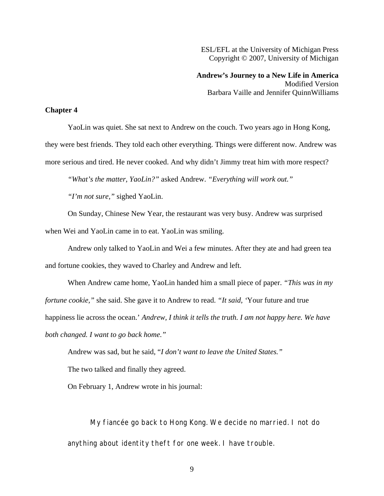ESL/EFL at the University of Michigan Press Copyright © 2007, University of Michigan

**Andrew's Journey to a New Life in America**  Modified Version Barbara Vaille and Jennifer QuinnWilliams

## **Chapter 4**

YaoLin was quiet. She sat next to Andrew on the couch. Two years ago in Hong Kong, they were best friends. They told each other everything. Things were different now. Andrew was more serious and tired. He never cooked. And why didn't Jimmy treat him with more respect?

*"What's the matter, YaoLin?"* asked Andrew. *"Everything will work out."* 

*"I'm not sure,"* sighed YaoLin.

On Sunday, Chinese New Year, the restaurant was very busy. Andrew was surprised when Wei and YaoLin came in to eat. YaoLin was smiling.

Andrew only talked to YaoLin and Wei a few minutes. After they ate and had green tea and fortune cookies, they waved to Charley and Andrew and left.

When Andrew came home, YaoLin handed him a small piece of paper. *"This was in my fortune cookie,"* she said. She gave it to Andrew to read. *"It said, '*Your future and true happiness lie across the ocean.' *Andrew, I think it tells the truth. I am not happy here. We have both changed. I want to go back home."*

Andrew was sad, but he said, "*I don't want to leave the United States."*

The two talked and finally they agreed.

On February 1, Andrew wrote in his journal:

My fiancée go back to Hong Kong. We decide no married. I not do anything about identity theft for one week. I have trouble.